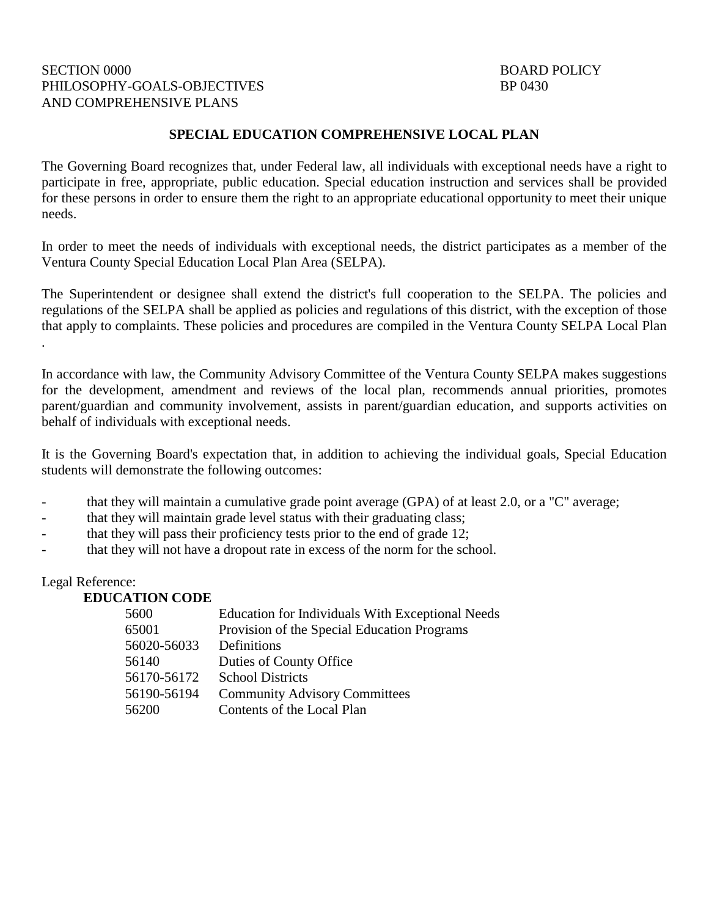## SECTION 0000 BOARD POLICY PHILOSOPHY-GOALS-OBJECTIVES BP 0430 AND COMPREHENSIVE PLANS

#### **SPECIAL EDUCATION COMPREHENSIVE LOCAL PLAN**

The Governing Board recognizes that, under Federal law, all individuals with exceptional needs have a right to participate in free, appropriate, public education. Special education instruction and services shall be provided for these persons in order to ensure them the right to an appropriate educational opportunity to meet their unique needs.

In order to meet the needs of individuals with exceptional needs, the district participates as a member of the Ventura County Special Education Local Plan Area (SELPA).

The Superintendent or designee shall extend the district's full cooperation to the SELPA. The policies and regulations of the SELPA shall be applied as policies and regulations of this district, with the exception of those that apply to complaints. These policies and procedures are compiled in the Ventura County SELPA Local Plan .

In accordance with law, the Community Advisory Committee of the Ventura County SELPA makes suggestions for the development, amendment and reviews of the local plan, recommends annual priorities, promotes parent/guardian and community involvement, assists in parent/guardian education, and supports activities on behalf of individuals with exceptional needs.

It is the Governing Board's expectation that, in addition to achieving the individual goals, Special Education students will demonstrate the following outcomes:

- that they will maintain a cumulative grade point average (GPA) of at least 2.0, or a "C" average;
- that they will maintain grade level status with their graduating class;
- that they will pass their proficiency tests prior to the end of grade 12;
- that they will not have a dropout rate in excess of the norm for the school.

#### Legal Reference:

#### **EDUCATION CODE**

| 5600        | Education for Individuals With Exceptional Needs |
|-------------|--------------------------------------------------|
| 65001       | Provision of the Special Education Programs      |
| 56020-56033 | Definitions                                      |
| 56140       | Duties of County Office                          |
| 56170-56172 | <b>School Districts</b>                          |
| 56190-56194 | <b>Community Advisory Committees</b>             |
| 56200       | Contents of the Local Plan                       |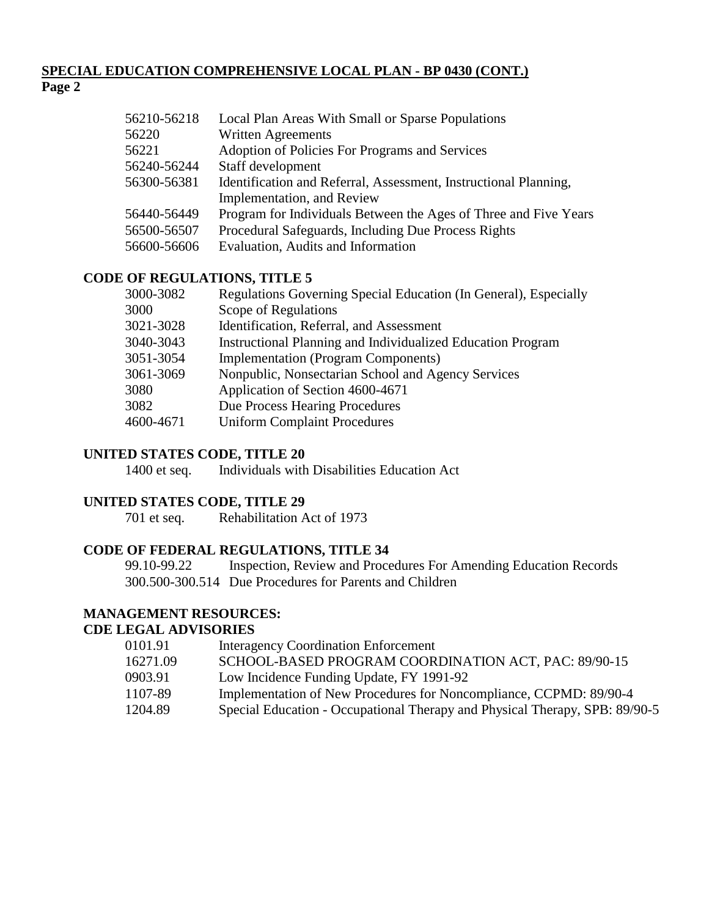## **SPECIAL EDUCATION COMPREHENSIVE LOCAL PLAN - BP 0430 (CONT.) Page 2**

| 56210-56218 | Local Plan Areas With Small or Sparse Populations                |
|-------------|------------------------------------------------------------------|
| 56220       | <b>Written Agreements</b>                                        |
| 56221       | Adoption of Policies For Programs and Services                   |
| 56240-56244 | Staff development                                                |
| 56300-56381 | Identification and Referral, Assessment, Instructional Planning, |
|             | Implementation, and Review                                       |
| 56440-56449 | Program for Individuals Between the Ages of Three and Five Years |
| 56500-56507 | Procedural Safeguards, Including Due Process Rights              |
| 56600-56606 | Evaluation, Audits and Information                               |
|             |                                                                  |

## **CODE OF REGULATIONS, TITLE 5**

| 3000-3082 | Regulations Governing Special Education (In General), Especially |
|-----------|------------------------------------------------------------------|
| 3000      | Scope of Regulations                                             |
| 3021-3028 | Identification, Referral, and Assessment                         |
| 3040-3043 | Instructional Planning and Individualized Education Program      |
| 3051-3054 | <b>Implementation (Program Components)</b>                       |
| 3061-3069 | Nonpublic, Nonsectarian School and Agency Services               |
| 3080      | Application of Section 4600-4671                                 |
| 3082      | Due Process Hearing Procedures                                   |
| 4600-4671 | <b>Uniform Complaint Procedures</b>                              |
|           |                                                                  |

#### **UNITED STATES CODE, TITLE 20**

1400 et seq. Individuals with Disabilities Education Act

#### **UNITED STATES CODE, TITLE 29**

701 et seq. Rehabilitation Act of 1973

# **CODE OF FEDERAL REGULATIONS, TITLE 34**

99.10-99.22 Inspection, Review and Procedures For Amending Education Records 300.500-300.514 Due Procedures for Parents and Children

# **MANAGEMENT RESOURCES:**

#### **CDE LEGAL ADVISORIES**

| 0101.91  | <b>Interagency Coordination Enforcement</b>                                 |
|----------|-----------------------------------------------------------------------------|
| 16271.09 | SCHOOL-BASED PROGRAM COORDINATION ACT, PAC: 89/90-15                        |
| 0903.91  | Low Incidence Funding Update, FY 1991-92                                    |
| 1107-89  | Implementation of New Procedures for Noncompliance, CCPMD: 89/90-4          |
| 1204.89  | Special Education - Occupational Therapy and Physical Therapy, SPB: 89/90-5 |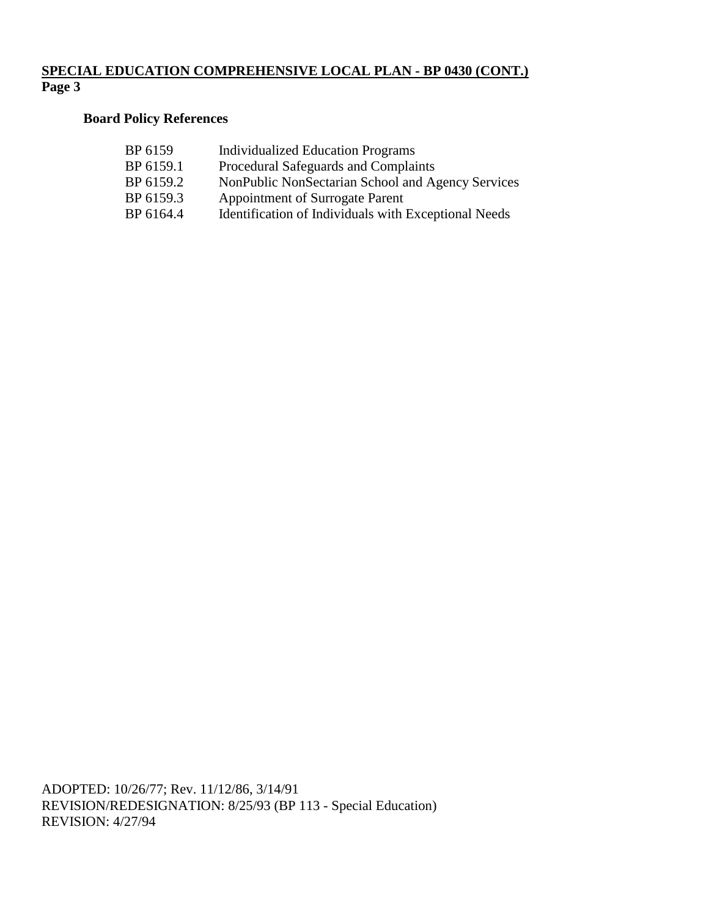## **SPECIAL EDUCATION COMPREHENSIVE LOCAL PLAN - BP 0430 (CONT.) Page 3**

# **Board Policy References**

| <b>Individualized Education Programs</b>             |
|------------------------------------------------------|
| Procedural Safeguards and Complaints                 |
| NonPublic NonSectarian School and Agency Services    |
| <b>Appointment of Surrogate Parent</b>               |
| Identification of Individuals with Exceptional Needs |
|                                                      |

ADOPTED: 10/26/77; Rev. 11/12/86, 3/14/91 REVISION/REDESIGNATION: 8/25/93 (BP 113 - Special Education) REVISION: 4/27/94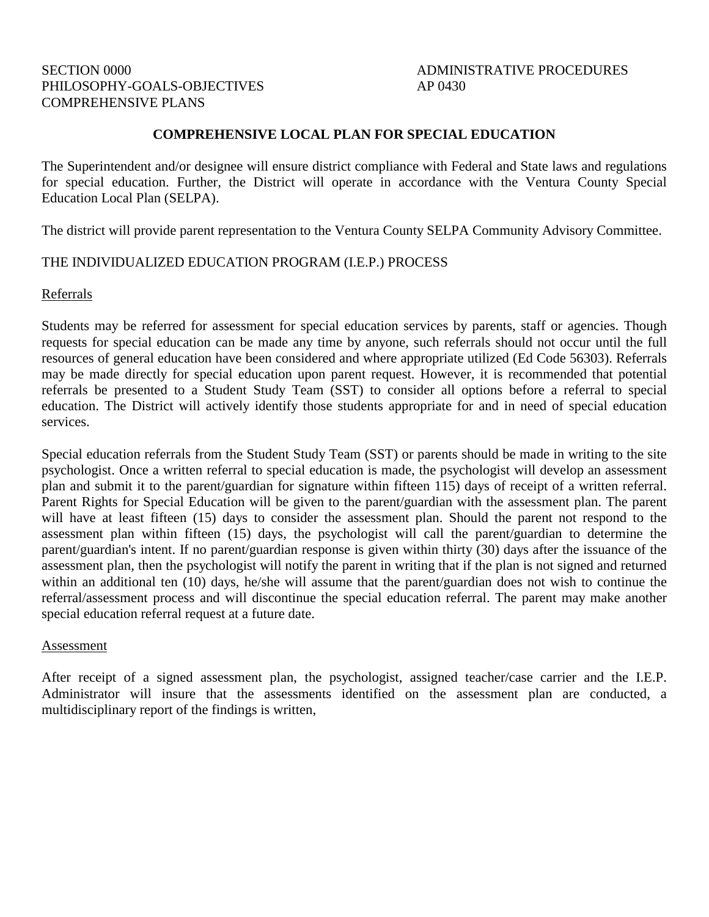## SECTION 0000 SECTION 0000 PHILOSOPHY-GOALS-OBJECTIVES AP 0430 COMPREHENSIVE PLANS

#### **COMPREHENSIVE LOCAL PLAN FOR SPECIAL EDUCATION**

The Superintendent and/or designee will ensure district compliance with Federal and State laws and regulations for special education. Further, the District will operate in accordance with the Ventura County Special Education Local Plan (SELPA).

The district will provide parent representation to the Ventura County SELPA Community Advisory Committee.

## THE INDIVIDUALIZED EDUCATION PROGRAM (I.E.P.) PROCESS

#### Referrals

Students may be referred for assessment for special education services by parents, staff or agencies. Though requests for special education can be made any time by anyone, such referrals should not occur until the full resources of general education have been considered and where appropriate utilized (Ed Code 56303). Referrals may be made directly for special education upon parent request. However, it is recommended that potential referrals be presented to a Student Study Team (SST) to consider all options before a referral to special education. The District will actively identify those students appropriate for and in need of special education services.

Special education referrals from the Student Study Team (SST) or parents should be made in writing to the site psychologist. Once a written referral to special education is made, the psychologist will develop an assessment plan and submit it to the parent/guardian for signature within fifteen 115) days of receipt of a written referral. Parent Rights for Special Education will be given to the parent/guardian with the assessment plan. The parent will have at least fifteen (15) days to consider the assessment plan. Should the parent not respond to the assessment plan within fifteen (15) days, the psychologist will call the parent/guardian to determine the parent/guardian's intent. If no parent/guardian response is given within thirty (30) days after the issuance of the assessment plan, then the psychologist will notify the parent in writing that if the plan is not signed and returned within an additional ten (10) days, he/she will assume that the parent/guardian does not wish to continue the referral/assessment process and will discontinue the special education referral. The parent may make another special education referral request at a future date.

#### Assessment

After receipt of a signed assessment plan, the psychologist, assigned teacher/case carrier and the I.E.P. Administrator will insure that the assessments identified on the assessment plan are conducted, a multidisciplinary report of the findings is written,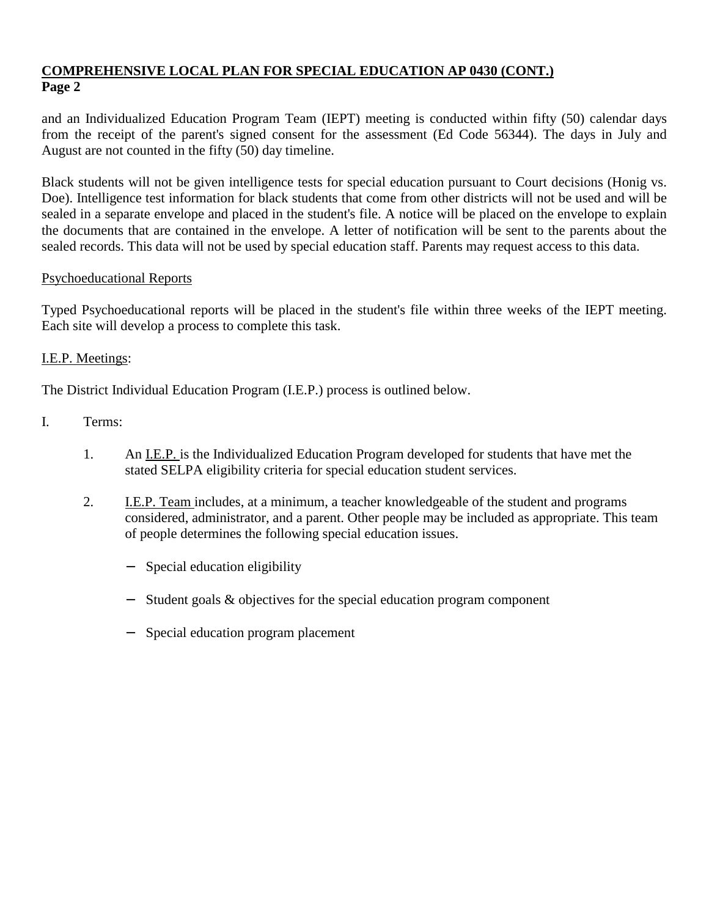and an Individualized Education Program Team (IEPT) meeting is conducted within fifty (50) calendar days from the receipt of the parent's signed consent for the assessment (Ed Code 56344). The days in July and August are not counted in the fifty (50) day timeline.

Black students will not be given intelligence tests for special education pursuant to Court decisions (Honig vs. Doe). Intelligence test information for black students that come from other districts will not be used and will be sealed in a separate envelope and placed in the student's file. A notice will be placed on the envelope to explain the documents that are contained in the envelope. A letter of notification will be sent to the parents about the sealed records. This data will not be used by special education staff. Parents may request access to this data.

# Psychoeducational Reports

Typed Psychoeducational reports will be placed in the student's file within three weeks of the IEPT meeting. Each site will develop a process to complete this task.

# I.E.P. Meetings:

The District Individual Education Program (I.E.P.) process is outlined below.

- I. Terms:
	- 1. An I.E.P. is the Individualized Education Program developed for students that have met the stated SELPA eligibility criteria for special education student services.
	- 2. I.E.P. Team includes, at a minimum, a teacher knowledgeable of the student and programs considered, administrator, and a parent. Other people may be included as appropriate. This team of people determines the following special education issues.
		- − Special education eligibility
		- − Student goals & objectives for the special education program component
		- − Special education program placement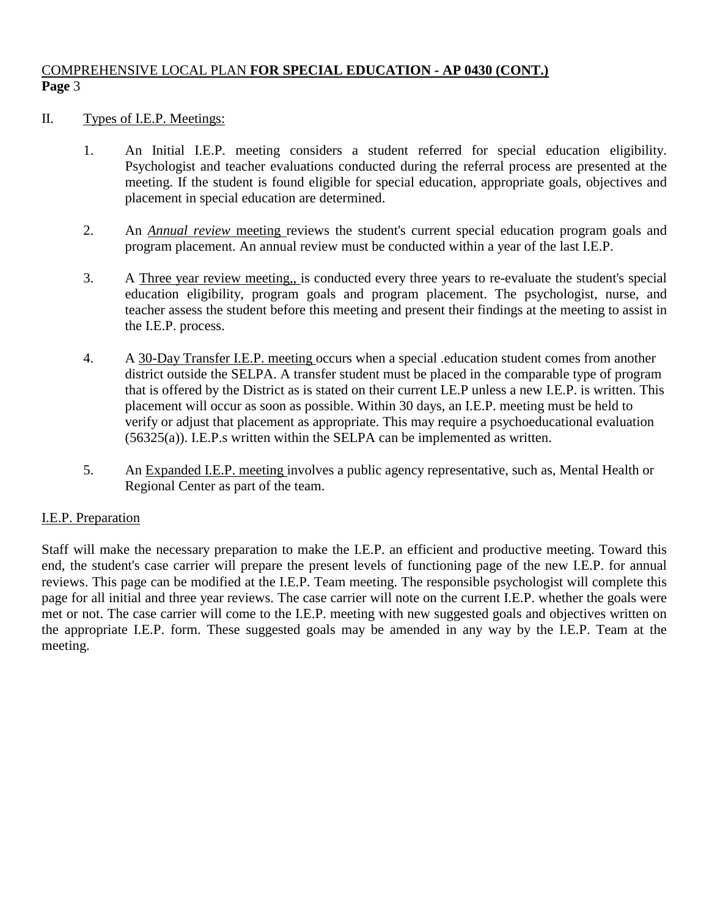## II. Types of I.E.P. Meetings:

- 1. An Initial I.E.P. meeting considers a student referred for special education eligibility. Psychologist and teacher evaluations conducted during the referral process are presented at the meeting. If the student is found eligible for special education, appropriate goals, objectives and placement in special education are determined.
- 2. An *Annual review* meeting reviews the student's current special education program goals and program placement. An annual review must be conducted within a year of the last I.E.P.
- 3. A Three year review meeting,, is conducted every three years to re-evaluate the student's special education eligibility, program goals and program placement. The psychologist, nurse, and teacher assess the student before this meeting and present their findings at the meeting to assist in the I.E.P. process.
- 4. A 30-Day Transfer I.E.P. meeting occurs when a special .education student comes from another district outside the SELPA. A transfer student must be placed in the comparable type of program that is offered by the District as is stated on their current LE.P unless a new I.E.P. is written. This placement will occur as soon as possible. Within 30 days, an I.E.P. meeting must be held to verify or adjust that placement as appropriate. This may require a psychoeducational evaluation  $(56325(a))$ . I.E.P.s written within the SELPA can be implemented as written.
- 5. An Expanded I.E.P. meeting involves a public agency representative, such as, Mental Health or Regional Center as part of the team.

# I.E.P. Preparation

Staff will make the necessary preparation to make the I.E.P. an efficient and productive meeting. Toward this end, the student's case carrier will prepare the present levels of functioning page of the new I.E.P. for annual reviews. This page can be modified at the I.E.P. Team meeting. The responsible psychologist will complete this page for all initial and three year reviews. The case carrier will note on the current I.E.P. whether the goals were met or not. The case carrier will come to the I.E.P. meeting with new suggested goals and objectives written on the appropriate I.E.P. form. These suggested goals may be amended in any way by the I.E.P. Team at the meeting.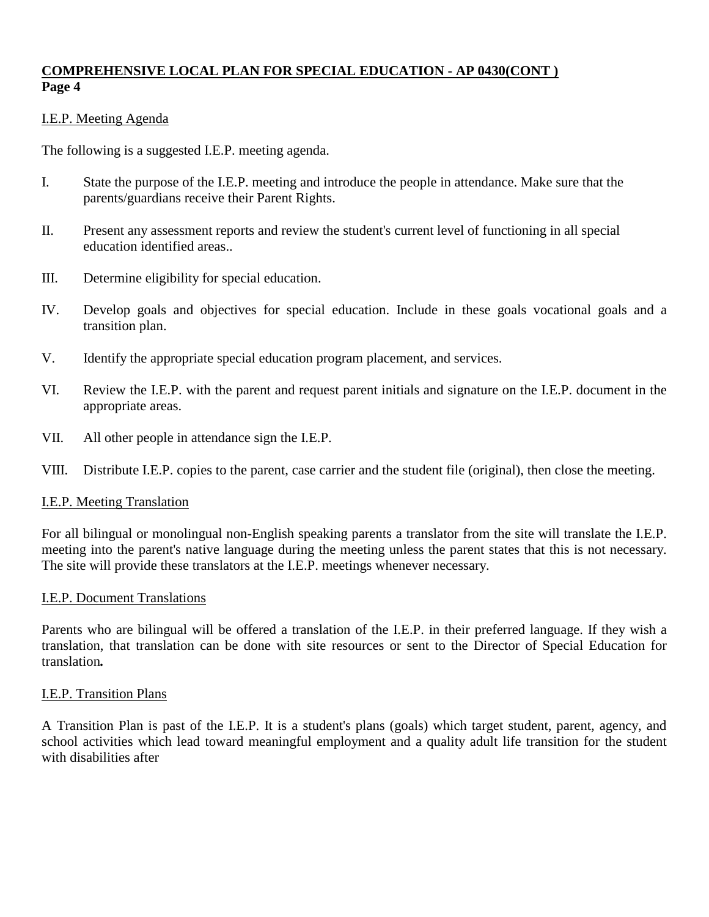# I.E.P. Meeting Agenda

The following is a suggested I.E.P. meeting agenda.

- I. State the purpose of the I.E.P. meeting and introduce the people in attendance. Make sure that the parents/guardians receive their Parent Rights.
- II. Present any assessment reports and review the student's current level of functioning in all special education identified areas..
- III. Determine eligibility for special education.
- IV. Develop goals and objectives for special education. Include in these goals vocational goals and a transition plan.
- V. Identify the appropriate special education program placement, and services.
- VI. Review the I.E.P. with the parent and request parent initials and signature on the I.E.P. document in the appropriate areas.
- VII. All other people in attendance sign the I.E.P.
- VIII. Distribute I.E.P. copies to the parent, case carrier and the student file (original), then close the meeting.

#### I.E.P. Meeting Translation

For all bilingual or monolingual non-English speaking parents a translator from the site will translate the I.E.P. meeting into the parent's native language during the meeting unless the parent states that this is not necessary. The site will provide these translators at the I.E.P. meetings whenever necessary.

#### I.E.P. Document Translations

Parents who are bilingual will be offered a translation of the I.E.P. in their preferred language. If they wish a translation, that translation can be done with site resources or sent to the Director of Special Education for translation*.*

#### I.E.P. Transition Plans

A Transition Plan is past of the I.E.P. It is a student's plans (goals) which target student, parent, agency, and school activities which lead toward meaningful employment and a quality adult life transition for the student with disabilities after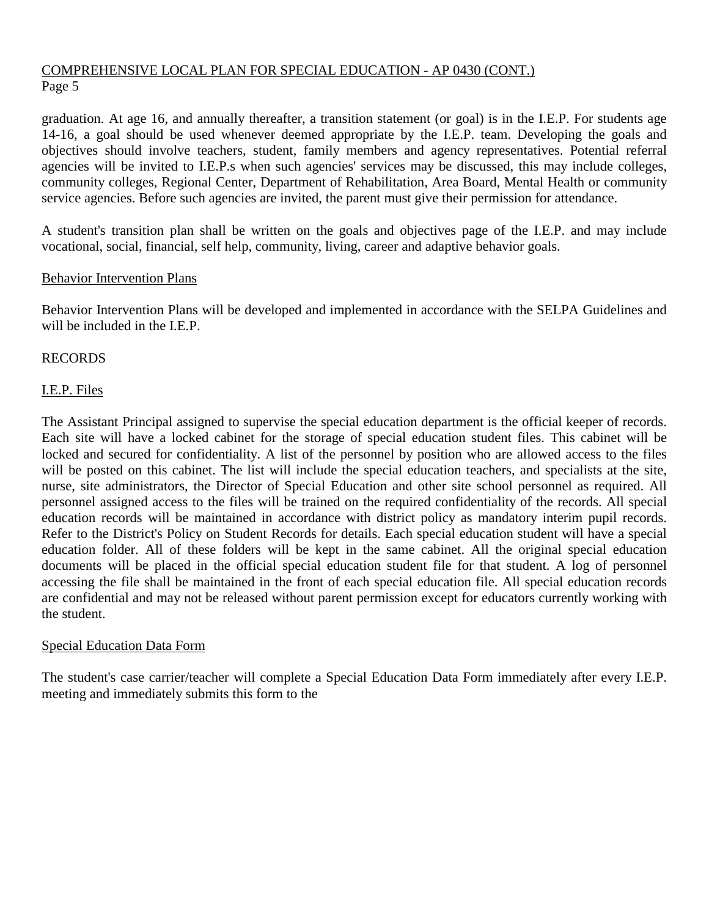graduation. At age 16, and annually thereafter, a transition statement (or goal) is in the I.E.P. For students age 14-16, a goal should be used whenever deemed appropriate by the I.E.P. team. Developing the goals and objectives should involve teachers, student, family members and agency representatives. Potential referral agencies will be invited to I.E.P.s when such agencies' services may be discussed, this may include colleges, community colleges, Regional Center, Department of Rehabilitation, Area Board, Mental Health or community service agencies. Before such agencies are invited, the parent must give their permission for attendance.

A student's transition plan shall be written on the goals and objectives page of the I.E.P. and may include vocational, social, financial, self help, community, living, career and adaptive behavior goals.

## Behavior Intervention Plans

Behavior Intervention Plans will be developed and implemented in accordance with the SELPA Guidelines and will be included in the I.E.P.

## RECORDS

## I.E.P. Files

The Assistant Principal assigned to supervise the special education department is the official keeper of records. Each site will have a locked cabinet for the storage of special education student files. This cabinet will be locked and secured for confidentiality. A list of the personnel by position who are allowed access to the files will be posted on this cabinet. The list will include the special education teachers, and specialists at the site, nurse, site administrators, the Director of Special Education and other site school personnel as required. All personnel assigned access to the files will be trained on the required confidentiality of the records. All special education records will be maintained in accordance with district policy as mandatory interim pupil records. Refer to the District's Policy on Student Records for details. Each special education student will have a special education folder. All of these folders will be kept in the same cabinet. All the original special education documents will be placed in the official special education student file for that student. A log of personnel accessing the file shall be maintained in the front of each special education file. All special education records are confidential and may not be released without parent permission except for educators currently working with the student.

#### Special Education Data Form

The student's case carrier/teacher will complete a Special Education Data Form immediately after every I.E.P. meeting and immediately submits this form to the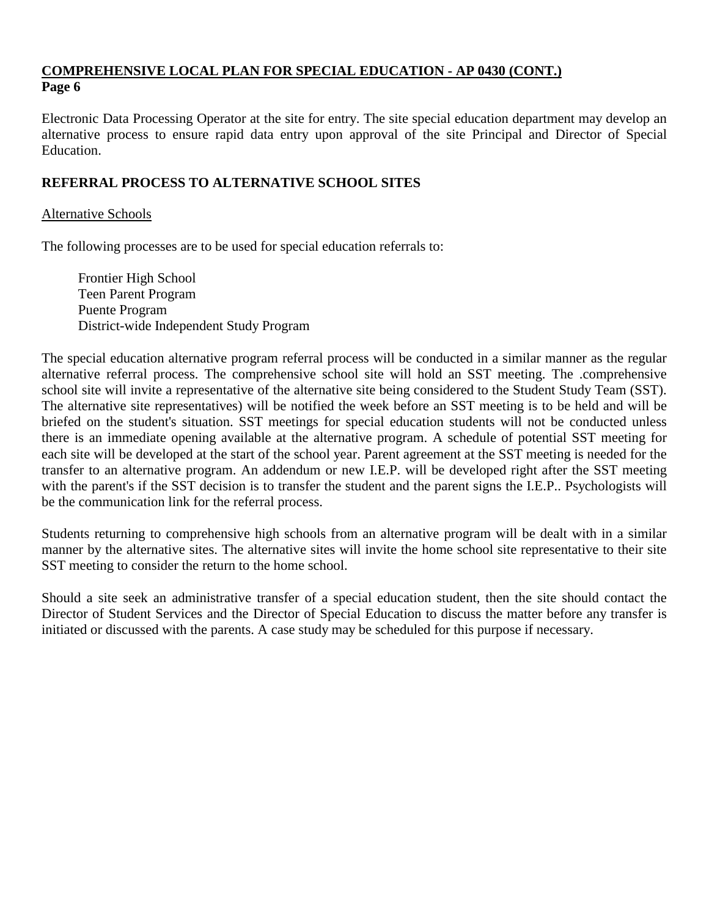Electronic Data Processing Operator at the site for entry. The site special education department may develop an alternative process to ensure rapid data entry upon approval of the site Principal and Director of Special Education.

# **REFERRAL PROCESS TO ALTERNATIVE SCHOOL SITES**

## Alternative Schools

The following processes are to be used for special education referrals to:

Frontier High School Teen Parent Program Puente Program District-wide Independent Study Program

The special education alternative program referral process will be conducted in a similar manner as the regular alternative referral process. The comprehensive school site will hold an SST meeting. The .comprehensive school site will invite a representative of the alternative site being considered to the Student Study Team (SST). The alternative site representatives) will be notified the week before an SST meeting is to be held and will be briefed on the student's situation. SST meetings for special education students will not be conducted unless there is an immediate opening available at the alternative program. A schedule of potential SST meeting for each site will be developed at the start of the school year. Parent agreement at the SST meeting is needed for the transfer to an alternative program. An addendum or new I.E.P. will be developed right after the SST meeting with the parent's if the SST decision is to transfer the student and the parent signs the I.E.P.. Psychologists will be the communication link for the referral process.

Students returning to comprehensive high schools from an alternative program will be dealt with in a similar manner by the alternative sites. The alternative sites will invite the home school site representative to their site SST meeting to consider the return to the home school.

Should a site seek an administrative transfer of a special education student, then the site should contact the Director of Student Services and the Director of Special Education to discuss the matter before any transfer is initiated or discussed with the parents. A case study may be scheduled for this purpose if necessary.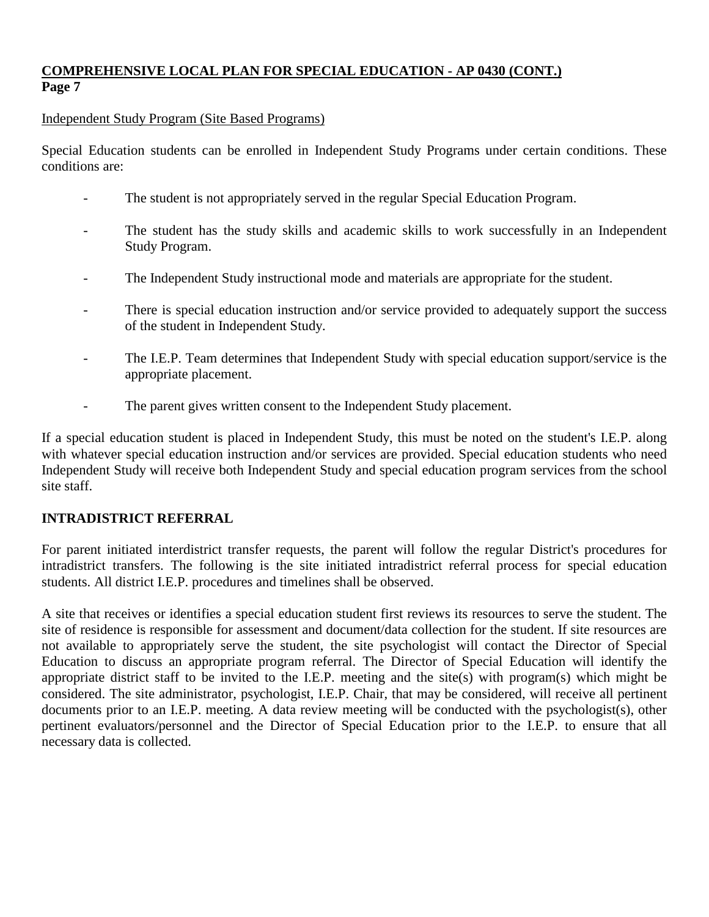## Independent Study Program (Site Based Programs)

Special Education students can be enrolled in Independent Study Programs under certain conditions. These conditions are:

- The student is not appropriately served in the regular Special Education Program.
- The student has the study skills and academic skills to work successfully in an Independent Study Program.
- The Independent Study instructional mode and materials are appropriate for the student.
- There is special education instruction and/or service provided to adequately support the success of the student in Independent Study.
- The I.E.P. Team determines that Independent Study with special education support/service is the appropriate placement.
- The parent gives written consent to the Independent Study placement.

If a special education student is placed in Independent Study, this must be noted on the student's I.E.P. along with whatever special education instruction and/or services are provided. Special education students who need Independent Study will receive both Independent Study and special education program services from the school site staff.

# **INTRADISTRICT REFERRAL**

For parent initiated interdistrict transfer requests, the parent will follow the regular District's procedures for intradistrict transfers. The following is the site initiated intradistrict referral process for special education students. All district I.E.P. procedures and timelines shall be observed.

A site that receives or identifies a special education student first reviews its resources to serve the student. The site of residence is responsible for assessment and document/data collection for the student. If site resources are not available to appropriately serve the student, the site psychologist will contact the Director of Special Education to discuss an appropriate program referral. The Director of Special Education will identify the appropriate district staff to be invited to the I.E.P. meeting and the site(s) with program(s) which might be considered. The site administrator, psychologist, I.E.P. Chair, that may be considered, will receive all pertinent documents prior to an I.E.P. meeting. A data review meeting will be conducted with the psychologist(s), other pertinent evaluators/personnel and the Director of Special Education prior to the I.E.P. to ensure that all necessary data is collected.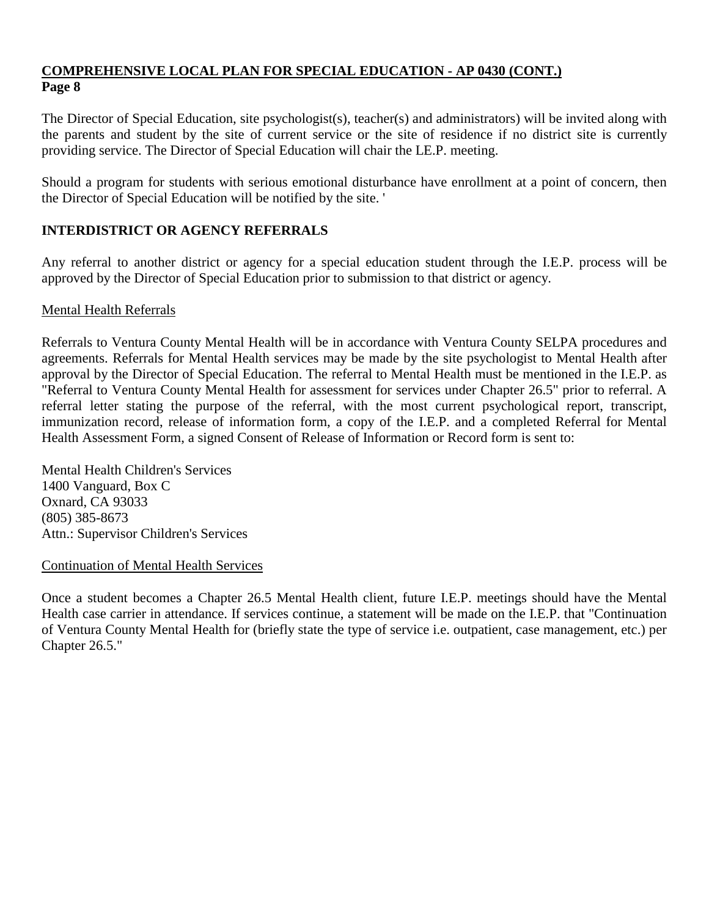The Director of Special Education, site psychologist(s), teacher(s) and administrators) will be invited along with the parents and student by the site of current service or the site of residence if no district site is currently providing service. The Director of Special Education will chair the LE.P. meeting.

Should a program for students with serious emotional disturbance have enrollment at a point of concern, then the Director of Special Education will be notified by the site. '

# **INTERDISTRICT OR AGENCY REFERRALS**

Any referral to another district or agency for a special education student through the I.E.P. process will be approved by the Director of Special Education prior to submission to that district or agency.

## Mental Health Referrals

Referrals to Ventura County Mental Health will be in accordance with Ventura County SELPA procedures and agreements. Referrals for Mental Health services may be made by the site psychologist to Mental Health after approval by the Director of Special Education. The referral to Mental Health must be mentioned in the I.E.P. as "Referral to Ventura County Mental Health for assessment for services under Chapter 26.5" prior to referral. A referral letter stating the purpose of the referral, with the most current psychological report, transcript, immunization record, release of information form, a copy of the I.E.P. and a completed Referral for Mental Health Assessment Form, a signed Consent of Release of Information or Record form is sent to:

Mental Health Children's Services 1400 Vanguard, Box C Oxnard, CA 93033 (805) 385-8673 Attn.: Supervisor Children's Services

Continuation of Mental Health Services

Once a student becomes a Chapter 26.5 Mental Health client, future I.E.P. meetings should have the Mental Health case carrier in attendance. If services continue, a statement will be made on the I.E.P. that "Continuation of Ventura County Mental Health for (briefly state the type of service i.e. outpatient, case management, etc.) per Chapter 26.5."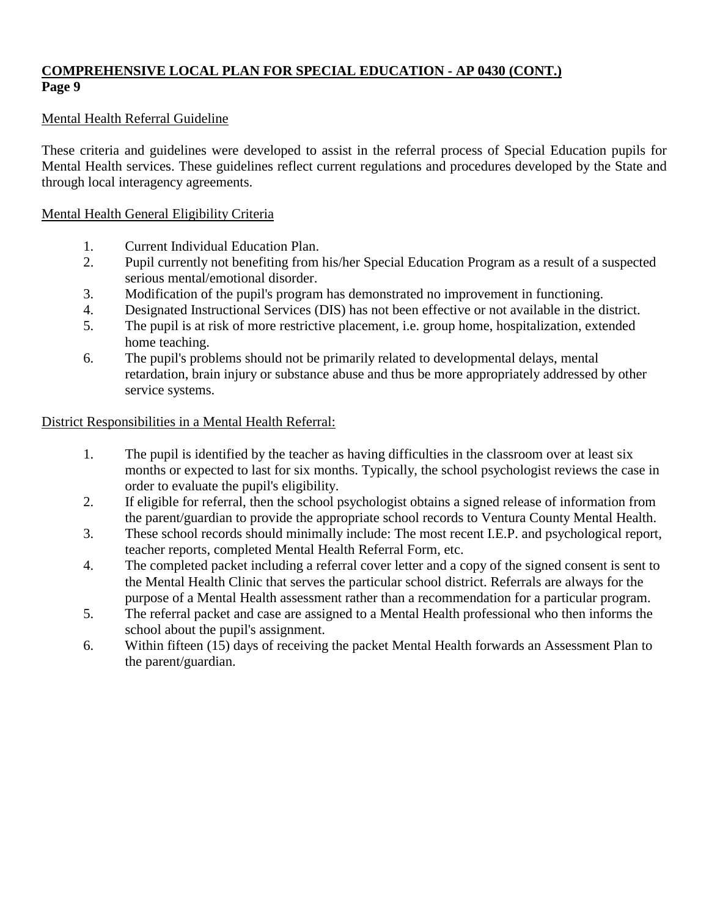# Mental Health Referral Guideline

These criteria and guidelines were developed to assist in the referral process of Special Education pupils for Mental Health services. These guidelines reflect current regulations and procedures developed by the State and through local interagency agreements.

# Mental Health General Eligibility Criteria

- 1. Current Individual Education Plan.
- 2. Pupil currently not benefiting from his/her Special Education Program as a result of a suspected serious mental/emotional disorder.
- 3. Modification of the pupil's program has demonstrated no improvement in functioning.
- 4. Designated Instructional Services (DIS) has not been effective or not available in the district.
- 5. The pupil is at risk of more restrictive placement, i.e. group home, hospitalization, extended home teaching.
- 6. The pupil's problems should not be primarily related to developmental delays, mental retardation, brain injury or substance abuse and thus be more appropriately addressed by other service systems.

# District Responsibilities in a Mental Health Referral:

- 1. The pupil is identified by the teacher as having difficulties in the classroom over at least six months or expected to last for six months. Typically, the school psychologist reviews the case in order to evaluate the pupil's eligibility.
- 2. If eligible for referral, then the school psychologist obtains a signed release of information from the parent/guardian to provide the appropriate school records to Ventura County Mental Health.
- 3. These school records should minimally include: The most recent I.E.P. and psychological report, teacher reports, completed Mental Health Referral Form, etc.
- 4. The completed packet including a referral cover letter and a copy of the signed consent is sent to the Mental Health Clinic that serves the particular school district. Referrals are always for the purpose of a Mental Health assessment rather than a recommendation for a particular program.
- 5. The referral packet and case are assigned to a Mental Health professional who then informs the school about the pupil's assignment.
- 6. Within fifteen (15) days of receiving the packet Mental Health forwards an Assessment Plan to the parent/guardian.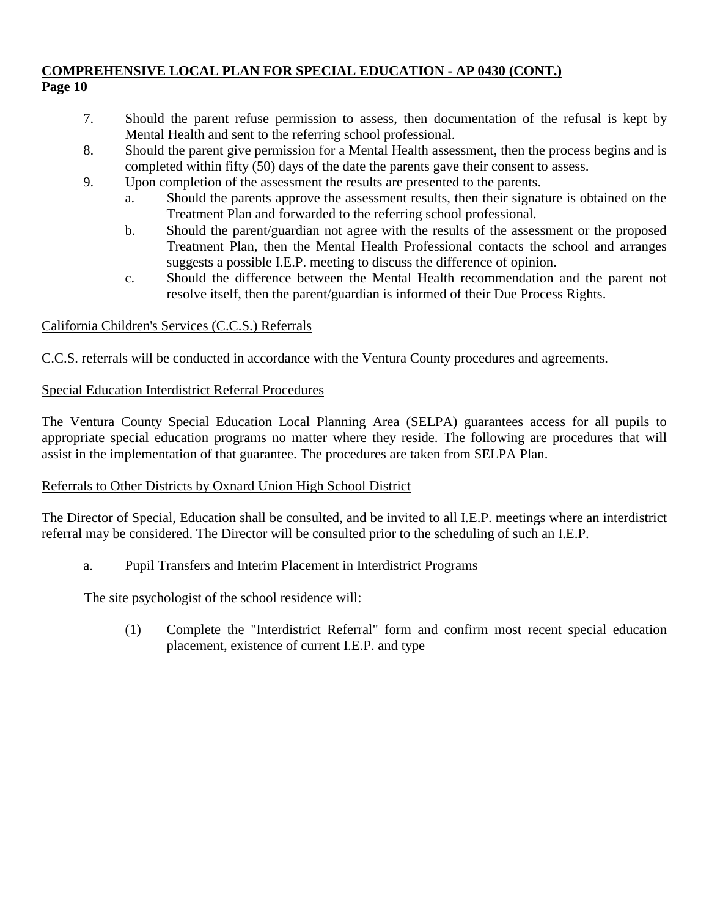- 7. Should the parent refuse permission to assess, then documentation of the refusal is kept by Mental Health and sent to the referring school professional.
- 8. Should the parent give permission for a Mental Health assessment, then the process begins and is completed within fifty (50) days of the date the parents gave their consent to assess.
- 9. Upon completion of the assessment the results are presented to the parents.
	- a. Should the parents approve the assessment results, then their signature is obtained on the Treatment Plan and forwarded to the referring school professional.
	- b. Should the parent/guardian not agree with the results of the assessment or the proposed Treatment Plan, then the Mental Health Professional contacts the school and arranges suggests a possible I.E.P. meeting to discuss the difference of opinion.
	- c. Should the difference between the Mental Health recommendation and the parent not resolve itself, then the parent/guardian is informed of their Due Process Rights.

# California Children's Services (C.C.S.) Referrals

C.C.S. referrals will be conducted in accordance with the Ventura County procedures and agreements.

# Special Education Interdistrict Referral Procedures

The Ventura County Special Education Local Planning Area (SELPA) guarantees access for all pupils to appropriate special education programs no matter where they reside. The following are procedures that will assist in the implementation of that guarantee. The procedures are taken from SELPA Plan.

# Referrals to Other Districts by Oxnard Union High School District

The Director of Special, Education shall be consulted, and be invited to all I.E.P. meetings where an interdistrict referral may be considered. The Director will be consulted prior to the scheduling of such an I.E.P.

a. Pupil Transfers and Interim Placement in Interdistrict Programs

The site psychologist of the school residence will:

(1) Complete the "Interdistrict Referral" form and confirm most recent special education placement, existence of current I.E.P. and type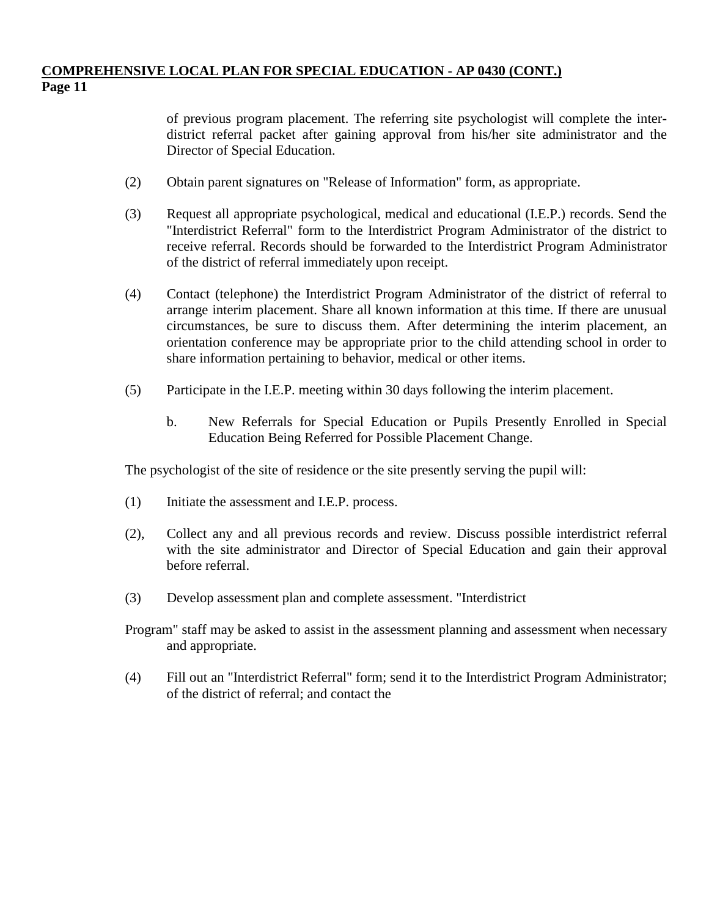of previous program placement. The referring site psychologist will complete the interdistrict referral packet after gaining approval from his/her site administrator and the Director of Special Education.

- (2) Obtain parent signatures on "Release of Information" form, as appropriate.
- (3) Request all appropriate psychological, medical and educational (I.E.P.) records. Send the "Interdistrict Referral" form to the Interdistrict Program Administrator of the district to receive referral. Records should be forwarded to the Interdistrict Program Administrator of the district of referral immediately upon receipt.
- (4) Contact (telephone) the Interdistrict Program Administrator of the district of referral to arrange interim placement. Share all known information at this time. If there are unusual circumstances, be sure to discuss them. After determining the interim placement, an orientation conference may be appropriate prior to the child attending school in order to share information pertaining to behavior, medical or other items.
- (5) Participate in the I.E.P. meeting within 30 days following the interim placement.
	- b. New Referrals for Special Education or Pupils Presently Enrolled in Special Education Being Referred for Possible Placement Change.

The psychologist of the site of residence or the site presently serving the pupil will:

- (1) Initiate the assessment and I.E.P. process.
- (2), Collect any and all previous records and review. Discuss possible interdistrict referral with the site administrator and Director of Special Education and gain their approval before referral.
- (3) Develop assessment plan and complete assessment. "Interdistrict
- Program" staff may be asked to assist in the assessment planning and assessment when necessary and appropriate.
- (4) Fill out an "Interdistrict Referral" form; send it to the Interdistrict Program Administrator; of the district of referral; and contact the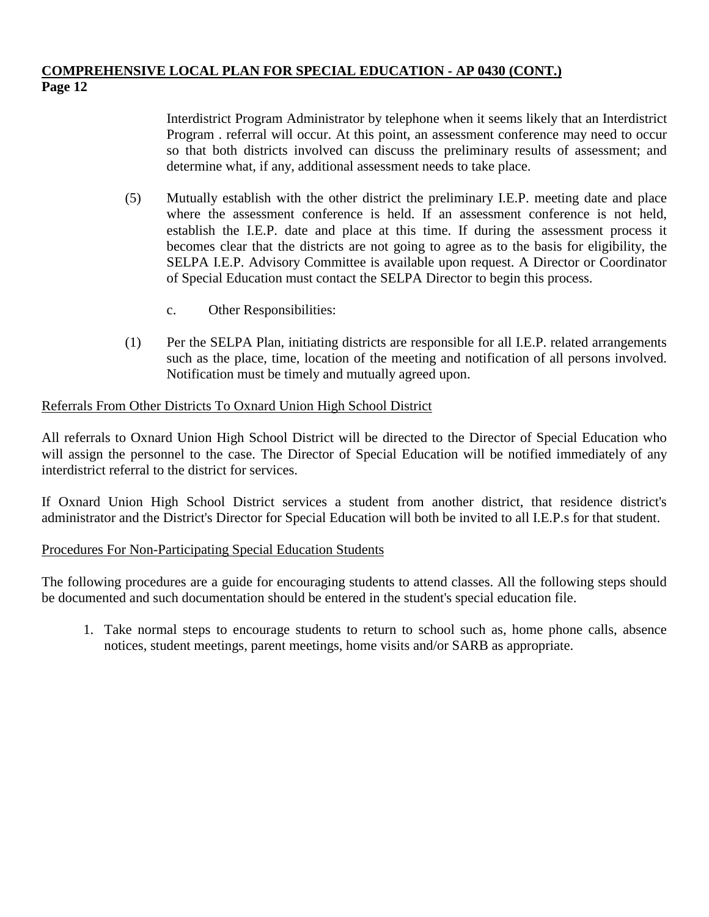Interdistrict Program Administrator by telephone when it seems likely that an Interdistrict Program . referral will occur. At this point, an assessment conference may need to occur so that both districts involved can discuss the preliminary results of assessment; and determine what, if any, additional assessment needs to take place.

- (5) Mutually establish with the other district the preliminary I.E.P. meeting date and place where the assessment conference is held. If an assessment conference is not held, establish the I.E.P. date and place at this time. If during the assessment process it becomes clear that the districts are not going to agree as to the basis for eligibility, the SELPA I.E.P. Advisory Committee is available upon request. A Director or Coordinator of Special Education must contact the SELPA Director to begin this process.
	- c. Other Responsibilities:
- (1) Per the SELPA Plan, initiating districts are responsible for all I.E.P. related arrangements such as the place, time, location of the meeting and notification of all persons involved. Notification must be timely and mutually agreed upon.

# Referrals From Other Districts To Oxnard Union High School District

All referrals to Oxnard Union High School District will be directed to the Director of Special Education who will assign the personnel to the case. The Director of Special Education will be notified immediately of any interdistrict referral to the district for services.

If Oxnard Union High School District services a student from another district, that residence district's administrator and the District's Director for Special Education will both be invited to all I.E.P.s for that student.

# Procedures For Non-Participating Special Education Students

The following procedures are a guide for encouraging students to attend classes. All the following steps should be documented and such documentation should be entered in the student's special education file.

1. Take normal steps to encourage students to return to school such as, home phone calls, absence notices, student meetings, parent meetings, home visits and/or SARB as appropriate.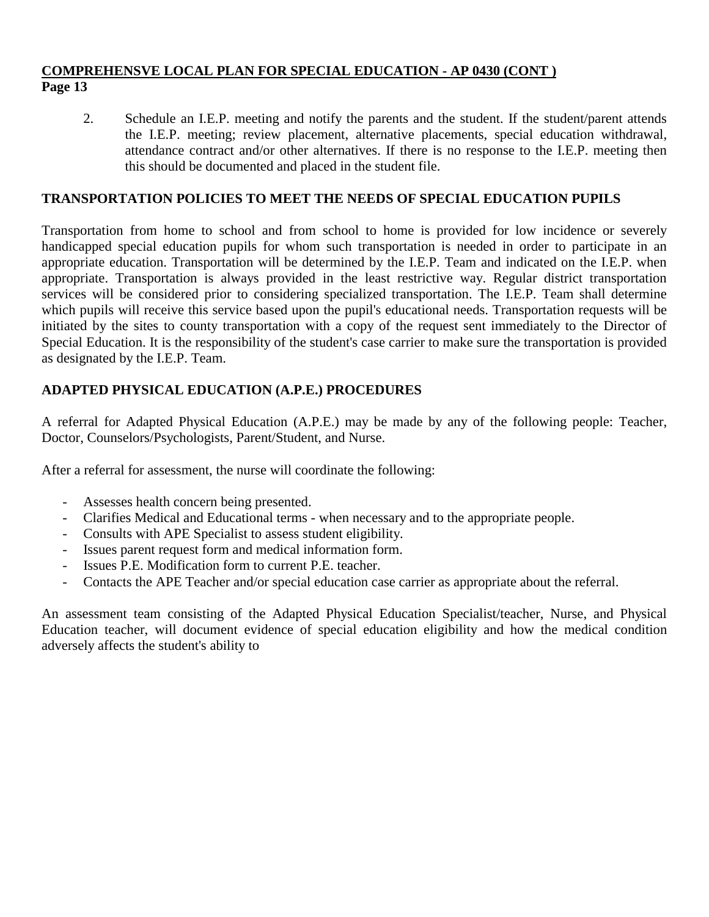2. Schedule an I.E.P. meeting and notify the parents and the student. If the student/parent attends the I.E.P. meeting; review placement, alternative placements, special education withdrawal, attendance contract and/or other alternatives. If there is no response to the I.E.P. meeting then this should be documented and placed in the student file.

## **TRANSPORTATION POLICIES TO MEET THE NEEDS OF SPECIAL EDUCATION PUPILS**

Transportation from home to school and from school to home is provided for low incidence or severely handicapped special education pupils for whom such transportation is needed in order to participate in an appropriate education. Transportation will be determined by the I.E.P. Team and indicated on the I.E.P. when appropriate. Transportation is always provided in the least restrictive way. Regular district transportation services will be considered prior to considering specialized transportation. The I.E.P. Team shall determine which pupils will receive this service based upon the pupil's educational needs. Transportation requests will be initiated by the sites to county transportation with a copy of the request sent immediately to the Director of Special Education. It is the responsibility of the student's case carrier to make sure the transportation is provided as designated by the I.E.P. Team.

# **ADAPTED PHYSICAL EDUCATION (A.P.E.) PROCEDURES**

A referral for Adapted Physical Education (A.P.E.) may be made by any of the following people: Teacher, Doctor, Counselors/Psychologists, Parent/Student, and Nurse.

After a referral for assessment, the nurse will coordinate the following:

- Assesses health concern being presented.
- Clarifies Medical and Educational terms when necessary and to the appropriate people.
- Consults with APE Specialist to assess student eligibility.
- Issues parent request form and medical information form.
- Issues P.E. Modification form to current P.E. teacher.
- Contacts the APE Teacher and/or special education case carrier as appropriate about the referral.

An assessment team consisting of the Adapted Physical Education Specialist/teacher, Nurse, and Physical Education teacher, will document evidence of special education eligibility and how the medical condition adversely affects the student's ability to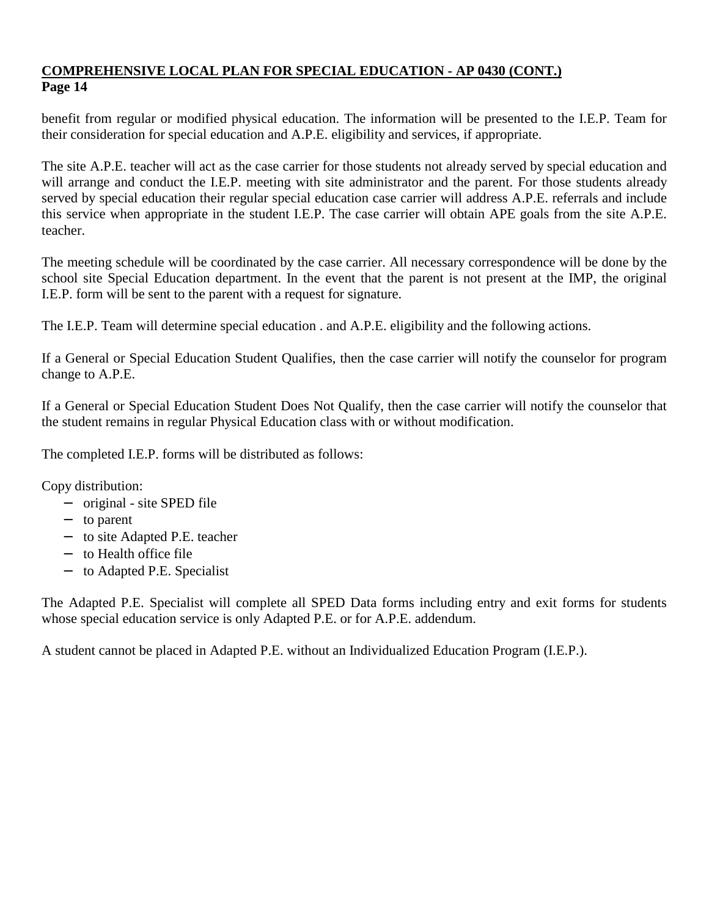benefit from regular or modified physical education. The information will be presented to the I.E.P. Team for their consideration for special education and A.P.E. eligibility and services, if appropriate.

The site A.P.E. teacher will act as the case carrier for those students not already served by special education and will arrange and conduct the I.E.P. meeting with site administrator and the parent. For those students already served by special education their regular special education case carrier will address A.P.E. referrals and include this service when appropriate in the student I.E.P. The case carrier will obtain APE goals from the site A.P.E. teacher.

The meeting schedule will be coordinated by the case carrier. All necessary correspondence will be done by the school site Special Education department. In the event that the parent is not present at the IMP, the original I.E.P. form will be sent to the parent with a request for signature.

The I.E.P. Team will determine special education . and A.P.E. eligibility and the following actions.

If a General or Special Education Student Qualifies, then the case carrier will notify the counselor for program change to A.P.E.

If a General or Special Education Student Does Not Qualify, then the case carrier will notify the counselor that the student remains in regular Physical Education class with or without modification.

The completed I.E.P. forms will be distributed as follows:

Copy distribution:

- − original site SPED file
- − to parent
- − to site Adapted P.E. teacher
- − to Health office file
- − to Adapted P.E. Specialist

The Adapted P.E. Specialist will complete all SPED Data forms including entry and exit forms for students whose special education service is only Adapted P.E. or for A.P.E. addendum.

A student cannot be placed in Adapted P.E. without an Individualized Education Program (I.E.P.).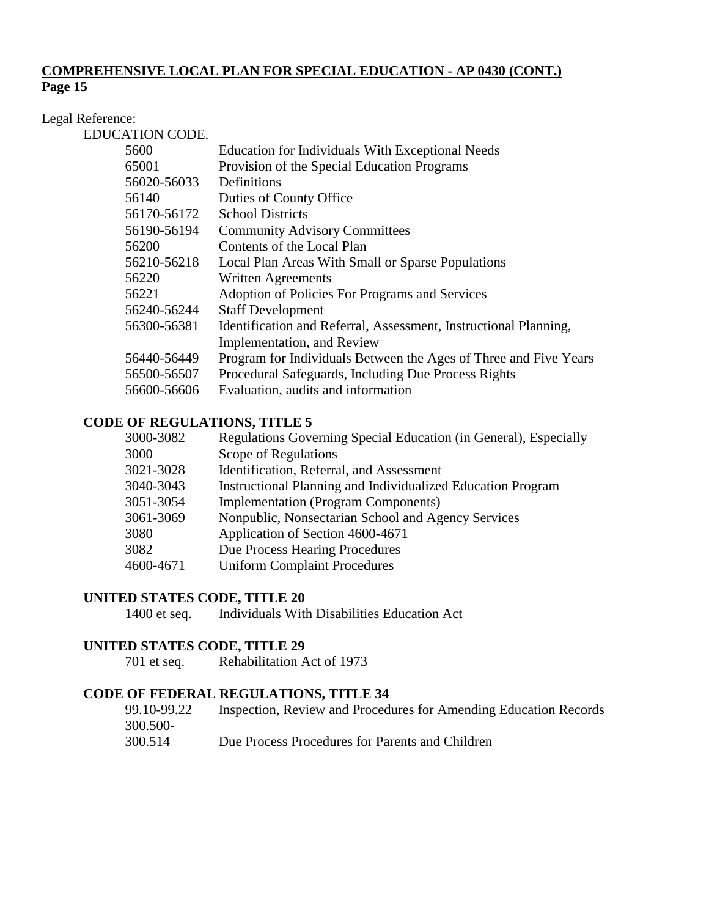# Legal Reference:

EDUCATION CODE.

| 5600        | Education for Individuals With Exceptional Needs                 |
|-------------|------------------------------------------------------------------|
| 65001       | Provision of the Special Education Programs                      |
| 56020-56033 | Definitions                                                      |
| 56140       | Duties of County Office                                          |
| 56170-56172 | <b>School Districts</b>                                          |
| 56190-56194 | <b>Community Advisory Committees</b>                             |
| 56200       | Contents of the Local Plan                                       |
| 56210-56218 | Local Plan Areas With Small or Sparse Populations                |
| 56220       | <b>Written Agreements</b>                                        |
| 56221       | Adoption of Policies For Programs and Services                   |
| 56240-56244 | <b>Staff Development</b>                                         |
| 56300-56381 | Identification and Referral, Assessment, Instructional Planning, |
|             | Implementation, and Review                                       |
| 56440-56449 | Program for Individuals Between the Ages of Three and Five Years |
| 56500-56507 | Procedural Safeguards, Including Due Process Rights              |
| 56600-56606 | Evaluation, audits and information                               |
|             |                                                                  |

# **CODE OF REGULATIONS, TITLE 5**

| 3000-3082 | Regulations Governing Special Education (in General), Especially |
|-----------|------------------------------------------------------------------|
| 3000      | Scope of Regulations                                             |
| 3021-3028 | Identification, Referral, and Assessment                         |
| 3040-3043 | Instructional Planning and Individualized Education Program      |
| 3051-3054 | <b>Implementation (Program Components)</b>                       |
| 3061-3069 | Nonpublic, Nonsectarian School and Agency Services               |
| 3080      | Application of Section 4600-4671                                 |
| 3082      | Due Process Hearing Procedures                                   |
| 4600-4671 | <b>Uniform Complaint Procedures</b>                              |
|           |                                                                  |

#### **UNITED STATES CODE, TITLE 20**

1400 et seq. Individuals With Disabilities Education Act

# **UNITED STATES CODE, TITLE 29**

701 et seq. Rehabilitation Act of 1973

# **CODE OF FEDERAL REGULATIONS, TITLE 34**

| 99.10-99.22 | Inspection, Review and Procedures for Amending Education Records |
|-------------|------------------------------------------------------------------|
| 300.500-    |                                                                  |
| 300.514     | Due Process Procedures for Parents and Children                  |